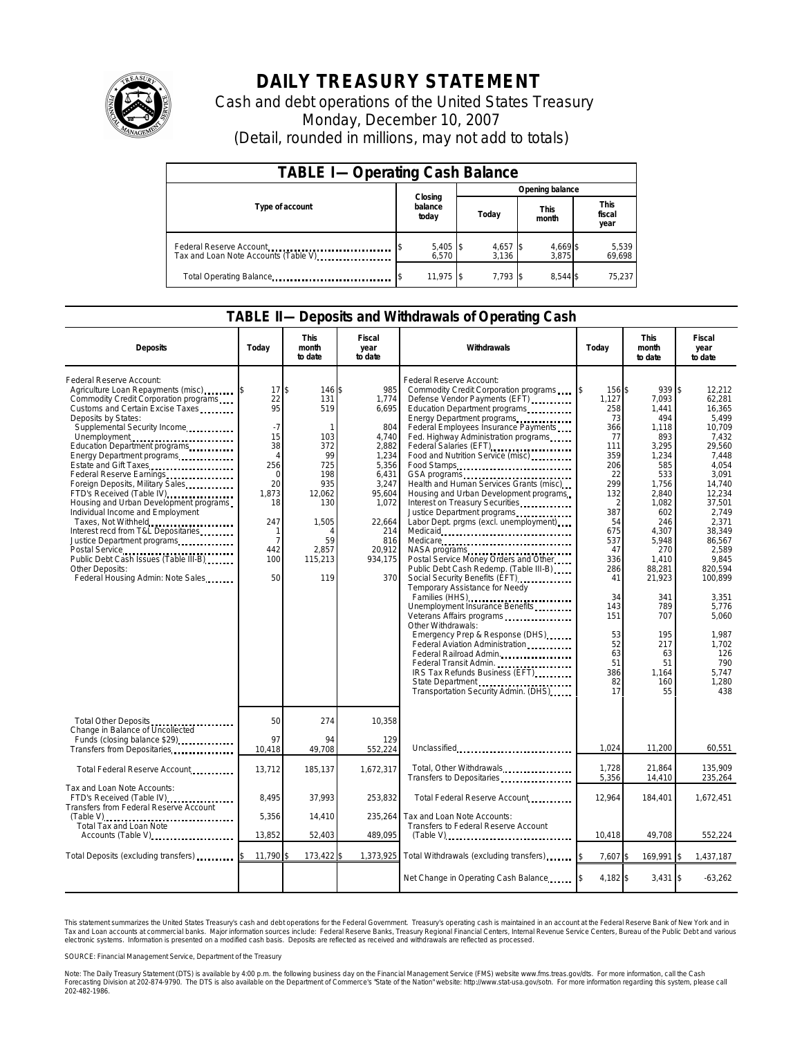

## **DAILY TREASURY STATEMENT**

Cash and debt operations of the United States Treasury Monday, December 10, 2007 (Detail, rounded in millions, may not add to totals)

| <b>TABLE I-Operating Cash Balance</b>                           |                             |                     |                      |                               |  |  |  |  |
|-----------------------------------------------------------------|-----------------------------|---------------------|----------------------|-------------------------------|--|--|--|--|
|                                                                 |                             | Opening balance     |                      |                               |  |  |  |  |
| Type of account                                                 | Closing<br>balance<br>today | Today               | <b>This</b><br>month | <b>This</b><br>fiscal<br>year |  |  |  |  |
| Federal Reserve Account<br>Tax and Loan Note Accounts (Table V) | $5,405$ \$<br>6.570         | $4,657$ \$<br>3.136 | 4,669 \$<br>3.875    | 5,539<br>69,698               |  |  |  |  |
| Total Operating Balance                                         | $11.975$ S                  | $7.793$ S           | 8.544 \$             | 75,237                        |  |  |  |  |

## **TABLE II—Deposits and Withdrawals of Operating Cash**

| <b>Deposits</b>                                                                                                                                                                                                                                                                                                                                                                                                                                                                                                                                                                                                                                                                     | Todav                                                                                                                              | This<br>month<br>to date                                                                                                      | Fiscal<br>year<br>to date                                                                                                                                 | <b>Withdrawals</b>                                                                                                                                                                                                                                                                                                                                                                                                                                                                                                                                                                                                                                                                                                                                                                                                                                                                                                                                                                                                     | Today                                                                                                                                                                                                  | <b>This</b><br>month<br>to date                                                                                                                                                                                                                  | Fiscal<br>year<br>to date                                                                                                                                                                                                                                                                                   |
|-------------------------------------------------------------------------------------------------------------------------------------------------------------------------------------------------------------------------------------------------------------------------------------------------------------------------------------------------------------------------------------------------------------------------------------------------------------------------------------------------------------------------------------------------------------------------------------------------------------------------------------------------------------------------------------|------------------------------------------------------------------------------------------------------------------------------------|-------------------------------------------------------------------------------------------------------------------------------|-----------------------------------------------------------------------------------------------------------------------------------------------------------|------------------------------------------------------------------------------------------------------------------------------------------------------------------------------------------------------------------------------------------------------------------------------------------------------------------------------------------------------------------------------------------------------------------------------------------------------------------------------------------------------------------------------------------------------------------------------------------------------------------------------------------------------------------------------------------------------------------------------------------------------------------------------------------------------------------------------------------------------------------------------------------------------------------------------------------------------------------------------------------------------------------------|--------------------------------------------------------------------------------------------------------------------------------------------------------------------------------------------------------|--------------------------------------------------------------------------------------------------------------------------------------------------------------------------------------------------------------------------------------------------|-------------------------------------------------------------------------------------------------------------------------------------------------------------------------------------------------------------------------------------------------------------------------------------------------------------|
| Federal Reserve Account:<br>Agriculture Loan Repayments (misc)<br>Commodity Credit Corporation programs<br>Customs and Certain Excise Taxes<br>Deposits by States:<br>Supplemental Security Income<br>Unemployment<br>Education Department programs<br>Energy Department programs<br>Estate and Gift Taxes<br>Federal Reserve Earnings<br>Foreign Deposits, Military Sales<br>FTD's Received (Table IV)<br>Housing and Urban Development programs<br>Individual Income and Employment<br>Taxes, Not Withheld<br>Interest recd from T&L Depositaries<br>Justice Department programs<br>Public Debt Cash Issues (Table III-B)<br>Other Deposits:<br>Federal Housing Admin: Note Sales | 17S<br>22<br>95<br>$-7$<br>15<br>38<br>$\overline{4}$<br>256<br>$\Omega$<br>20<br>1,873<br>18<br>247<br>1<br>7<br>442<br>100<br>50 | 146 \$<br>131<br>519<br>103<br>372<br>99<br>725<br>198<br>935<br>12,062<br>130<br>1,505<br>4<br>59<br>2.857<br>115,213<br>119 | 985<br>1,774<br>6,695<br>804<br>4,740<br>2,882<br>1,234<br>5,356<br>6,431<br>3,247<br>95,604<br>1,072<br>22,664<br>214<br>816<br>20.912<br>934,175<br>370 | Federal Reserve Account:<br>Commodity Credit Corporation programs<br>Defense Vendor Payments (EFT)<br>Education Department programs<br>Energy Department programs<br>Federal Employees Insurance Payments<br>Fed. Highway Administration programs<br>Federal Salaries (EFT)<br>Food and Nutrition Service (misc)<br>Food Stamps<br>Health and Human Services Grants (misc)<br>Housing and Urban Development programs<br>Interest on Treasury Securities<br>Labor Dept. prgms (excl. unemployment)<br>Medicare<br>NASA programs<br>Postal Service Money Orders and Other<br>Public Debt Cash Redemp. (Table III-B)<br>Social Security Benefits (EFT)<br>Temporary Assistance for Needy<br>Families (HHS)<br>Unemployment Insurance Benefits<br>Veterans Affairs programs<br>Other Withdrawals:<br>Emergency Prep & Response (DHS)<br>Federal Aviation Administration<br>Federal Railroad Admin.<br>Federal Transit Admin.<br>IRS Tax Refunds Business (EFT)<br>State Department<br>Transportation Security Admin. (DHS) | 156 \$<br>1.127<br>258<br>73<br>366<br>77<br>111<br>359<br>206<br>22<br>299<br>132<br>387<br>54<br>675<br>537<br>47<br>336<br>286<br>41<br>34<br>143<br>151<br>53<br>52<br>63<br>51<br>386<br>82<br>17 | 939<br>7.093<br>1,441<br>494<br>1,118<br>893<br>3,295<br>1,234<br>585<br>533<br>1,756<br>2,840<br>1,082<br>602<br>246<br>4,307<br>5,948<br>270<br>1.410<br>88,281<br>21,923<br>341<br>789<br>707<br>195<br>217<br>63<br>51<br>1.164<br>160<br>55 | $\mathsf{s}$<br>12,212<br>62,281<br>16.365<br>5,499<br>10.709<br>7.432<br>29.560<br>7,448<br>4,054<br>3,091<br>14.740<br>12,234<br>37,501<br>2,749<br>2.371<br>38.349<br>86.567<br>2,589<br>9.845<br>820.594<br>100.899<br>3.351<br>5,776<br>5.060<br>1.987<br>1,702<br>126<br>790<br>5.747<br>1,280<br>438 |
| Total Other Deposits<br>Change in Balance of Uncollected<br>Funds (closing balance \$29)                                                                                                                                                                                                                                                                                                                                                                                                                                                                                                                                                                                            | 50<br>97                                                                                                                           | 274<br>94                                                                                                                     | 10,358<br>129                                                                                                                                             |                                                                                                                                                                                                                                                                                                                                                                                                                                                                                                                                                                                                                                                                                                                                                                                                                                                                                                                                                                                                                        |                                                                                                                                                                                                        |                                                                                                                                                                                                                                                  |                                                                                                                                                                                                                                                                                                             |
| Transfers from Depositaries                                                                                                                                                                                                                                                                                                                                                                                                                                                                                                                                                                                                                                                         | 10,418                                                                                                                             | 49.708                                                                                                                        | 552,224                                                                                                                                                   | Unclassified                                                                                                                                                                                                                                                                                                                                                                                                                                                                                                                                                                                                                                                                                                                                                                                                                                                                                                                                                                                                           | 1.024                                                                                                                                                                                                  | 11.200                                                                                                                                                                                                                                           | 60,551                                                                                                                                                                                                                                                                                                      |
| Total Federal Reserve Account                                                                                                                                                                                                                                                                                                                                                                                                                                                                                                                                                                                                                                                       | 13,712                                                                                                                             | 185,137                                                                                                                       | 1,672,317                                                                                                                                                 | Total, Other Withdrawals<br>Transfers to Depositaries                                                                                                                                                                                                                                                                                                                                                                                                                                                                                                                                                                                                                                                                                                                                                                                                                                                                                                                                                                  | 1,728<br>5,356                                                                                                                                                                                         | 21,864<br>14,410                                                                                                                                                                                                                                 | 135,909<br>235,264                                                                                                                                                                                                                                                                                          |
| Tax and Loan Note Accounts:<br>FTD's Received (Table IV)<br>Transfers from Federal Reserve Account                                                                                                                                                                                                                                                                                                                                                                                                                                                                                                                                                                                  | 8,495                                                                                                                              | 37,993                                                                                                                        | 253,832                                                                                                                                                   | Total Federal Reserve Account                                                                                                                                                                                                                                                                                                                                                                                                                                                                                                                                                                                                                                                                                                                                                                                                                                                                                                                                                                                          | 12,964                                                                                                                                                                                                 | 184,401                                                                                                                                                                                                                                          | 1,672,451                                                                                                                                                                                                                                                                                                   |
| Total Tax and Loan Note                                                                                                                                                                                                                                                                                                                                                                                                                                                                                                                                                                                                                                                             | 5,356                                                                                                                              | 14.410                                                                                                                        | 235,264                                                                                                                                                   | Tax and Loan Note Accounts:<br>Transfers to Federal Reserve Account                                                                                                                                                                                                                                                                                                                                                                                                                                                                                                                                                                                                                                                                                                                                                                                                                                                                                                                                                    |                                                                                                                                                                                                        |                                                                                                                                                                                                                                                  |                                                                                                                                                                                                                                                                                                             |
| Accounts (Table V)                                                                                                                                                                                                                                                                                                                                                                                                                                                                                                                                                                                                                                                                  | 13,852                                                                                                                             | 52,403                                                                                                                        | 489,095                                                                                                                                                   | $(Table V)$                                                                                                                                                                                                                                                                                                                                                                                                                                                                                                                                                                                                                                                                                                                                                                                                                                                                                                                                                                                                            | 10,418                                                                                                                                                                                                 | 49,708                                                                                                                                                                                                                                           | 552,224                                                                                                                                                                                                                                                                                                     |
| Total Deposits (excluding transfers)                                                                                                                                                                                                                                                                                                                                                                                                                                                                                                                                                                                                                                                | 11,790                                                                                                                             | 173,422                                                                                                                       | 1,373,925                                                                                                                                                 | Total Withdrawals (excluding transfers)                                                                                                                                                                                                                                                                                                                                                                                                                                                                                                                                                                                                                                                                                                                                                                                                                                                                                                                                                                                | 7,607                                                                                                                                                                                                  | 169,991                                                                                                                                                                                                                                          | 1,437,187                                                                                                                                                                                                                                                                                                   |
|                                                                                                                                                                                                                                                                                                                                                                                                                                                                                                                                                                                                                                                                                     |                                                                                                                                    |                                                                                                                               |                                                                                                                                                           | Net Change in Operating Cash Balance                                                                                                                                                                                                                                                                                                                                                                                                                                                                                                                                                                                                                                                                                                                                                                                                                                                                                                                                                                                   | 4.182 \$                                                                                                                                                                                               | $3,431$ \$                                                                                                                                                                                                                                       | $-63,262$                                                                                                                                                                                                                                                                                                   |

This statement summarizes the United States Treasury's cash and debt operations for the Federal Government. Treasury's operating cash is maintained in an account at the Federal Reserve Bank of New York and in<br>Tax and Loan narizes the United States Treasury's cash and debt operations for the Federal Government. Treasury's operating cash is maintained in an account at the Federal Reserve Bank of New Yo<br>ints at commercial banks. Major informat

SOURCE: Financial Management Service, Department of the Treasury

Note: The Daily Treasury Statement (DTS) is available by 4:00 p.m. the following business day on the Financial Management Service (FMS) website www.fms.treas.gov/dts. For more information, call the Cash<br>Forecasting Divisio 202-482-1986.